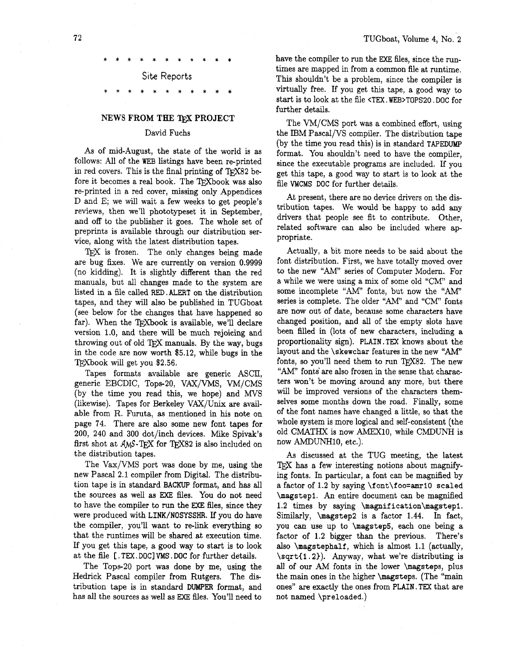Site Reports

## **NEWS FROM THE** 'QX **PROJECT**

#### David Fuchs

As of mid-August, the state of the world is as follows: All of the WEB listings have been re-printed in red covers. This is the final printing of TFX82 before it becomes a real book. The TFXbook was also re-printed in a red cover, missing only Appendices D and E; we will wait a few weeks to get people's reviews, then we'll phototypeset it in September, and off to the publisher it goes. The whole set of preprints is available through our distribution service, along with the latest distribution tapes.

TFX is frozen. The only changes being made are bug fixes. We are currently on version 0.9999 (no kidding). It is slightly different than the red manuals, but all changes made to the system are listed in a file called RED. ALERT on the distribution tapes, and they will also be published in TUGboat (see below for the changes that have happened so far). When the TFXbook is available, we'll declare version 1.0, and there will be much rejoicing and throwing out of old TEX manuals. By the way, bugs in the code are now worth \$5.12, while bugs in the TEXbook will get you \$2.56.

Tapes formats available are generic ASCII, generic EBCDIC, Tops-20, VAX/VMS, VM/CMS (by the time you read this, we hope) and MVS (likewise). Tapes for Berkeley VAX/Unix are available from R. Furuta, as mentioned in his note on page 74. There are also some new font tapes for 200, 240 and 300 dot/inch devices. Mike Spivak's first shot at  $AMS$ -TFX for TFX82 is also included on the distribution tapes.

The Vax/VMS port was done by me, using the new Pascal 2.1 compiler from Digital. The distribution tape is in standard **BACKUP** format, and has **all**  the sources as well as EXE files. You do not need to have the compiler to **run** the **ME** files, since they were produced with LINK/NOSYSSHR. If you do have the compiler, you'll want to re-link everything so that the runtimes will be shared at execution time. If you get this tape, a good way to start is to look at the file [ . TEX . DOC] VMS . DOC for further details.

The Tops-20 port was done by me, using the Hedrick Pascal compiler from Rutgers. The distribution tape is in standard DUMPER format, and has all the sources as well as **EXE** files. You'll need to

have the compiler to run the **EXE** files, since the runtimes are mapped in from a common file at runtime. This shouldn't be a problem, since the compiler is virtually free. If you get this tape, a good way to start is to look at the file <TEX. WEB>TOPS20. DOC for further details.

The VM/CMS port was a combined effort, using the IBM Pascal/VS compiler. The distribution tape (by the time you read this) is in standard **TAPEDUMP**  format. You shouldn't need to have the compiler, since the executable programs are included. If you get this tape, a good way to start is to look at the file WCMS DOC for further details.

At present, there are no device drivers on the distribution tapes. We would be happy to add any drivers that people see fit to contribute. Other, related software can also be included where appropriate.

Actually, a bit more needs to be said about the font distribution. First, we have totally moved over to the new "AM" series of Computer Modern. For a while we were using a mix of some old "CM" and some incomplete "AM" fonts, but now the "AM? series is complete. The older "AM" and "CM" fonts are now out of date, because some characters have changed position, and **all** of the empty slots have been filled in (lots of new characters, including a proportionality sign). PLAIN. TEX knows about the layout and the \skewchar features in the new "AM? fonts, so you'll need them to run TEX82. The new "AM" fonts' are also frozen in the sense that characters won't be moving around any more, but there will be improved versions of the characters themselves some months down the road. Finally, some of the font names have changed a little, so that the whole system is more logical and self-consistent (the old CMATHX is now AMEX10, while CMDUNH is now AMDUNH10, etc.).

**As** discussed at the TUG meeting, the latest TFX has a few interesting notions about magnifying fonts. In particular, a font can be magnified by a factor of 1.2 by saying **\f** ont\f oo=amrlO scaled \magstep1. An entire document can be magnified 1.2 times by saying \magnification\magstep1. Similarly, \magstep2 is a factor 1.44. In fact, you can use up to \magstep5, each one being a factor of 1.2 bigger than the previous. There's also \magstephalf, which is almost 1.1 (actually, \sqrt{1.2}). Anyway, what we're distributing is **all** of our AM fonts in the lower \magsteps, plus the main ones in the higher \magsteps. (The "main ones" are exactly the ones from PLAIN. TEX that are not named \preloaded.)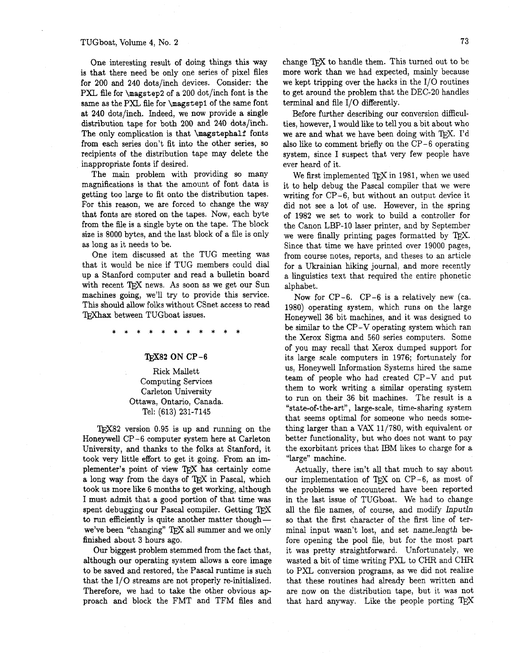One interesting result of doing things this way is that there need be only one series of pixel files for 200 and 240 dots/inch devices. Consider: the PXL file for **\magstep2** of a 200 dot/inch font is the same as the PXL file for **\magstep1** of the same font at 240 dots/inch. Indeed, we now provide a single distribution tape for both 200 and 240 dots/inch. The only complication is that **\magstephalf** fonts from each series don't fit into the other series, so recipients of the distribution tape may delete the inappropriate fonts if desired.

The main problem with providing so many magnifications is that the amount of font data is getting too large to fit onto the distribution tapes. For this reason, we are forced to change the way that fonts are stored on the tapes. Now, each byte from the file is a single byte on the tape. The block size is 8000 bytes, and the last block of a file is only as long as it needs to be.

One item discussed at the TUG meeting was that it would be nice if TUG members could dial up a Stanford computer and read a bulletin board with recent TFX news. As soon as we get our Sun machines going, we'll try to provide this service. This should allow folks without CSnet access to read TEXhax between TUGboat issues.

## TEX82 ON CP-6

Rick Mallett Computing Services Carleton University Ottawa, Ontario, Canada. Tel: (613) 231-7145

T $FX82$  version 0.95 is up and running on the Honeywell CP-6 computer system here at Carleton University, and thanks to the folks at Stanford, it took very little effort to get it going. From an implementer's point of view TFX has certainly come a long way from the days of TEX in Pascal, which took us more like 6 months to get working, although I must admit that a good portion of that time was spent debugging our Pascal compiler. Getting to run efficiently is quite another matter though we've been "changing" TFX all summer and we only finished about 3 hours ago.

Our biggest problem stemmed from the fact that, although our operating system allows a core image to be saved and restored, the Pascal runtime is such that the I/O streams are not properly re-initialized. Therefore, we had to take the other obvious ap proach and block the FMT and TFM files and

change TFX to handle them. This turned out to be more work than we had expected, mainly because we kept tripping over the hacks in the  $I/O$  routines to get around the problem that the DEC-20 handles terminal and file I/O differently.

Before further describing our conversion difficulties, however, I would like to tell you a bit about who we are and what we have been doing with TFX. I'd also like to comment briefly on the CP-6 operating system, since I suspect that very few people have ever heard of it.

We first implemented  $T_FX$  in 1981, when we used it to help debug the Pascal compiler that we were writing for CP-6, but without an output device it did not see a lot of use. However, in the spring of 1982 we set to work to build a controller for the Canon LBP-10 laser printer, and by September we were finally printing pages formatted by TFX. Since that time we have printed over 19000 pages, from course notes, reports, and theses to an article for a Ukrainian hiking journal, and more recently a linguistics text that required the entire phonetic alphabet.

Now for CP-6. CP-6 is a relatively new (ca. 1980) operating system, which runs on the large Honeywell 36 bit machines, and it was designed to be similar to the CP-V operating system which ran the Xerox Sigma and 560 series computers. Some of you may recall that Xerox dumped support for its large scale computers in 1976; fortunately for us, Honeywell Information Systems hired the same team of people who had created CP-V and put them to work writing a similar operating system to run on their 36 bit machines. The result is a "state-of-the-art", large-scale, time-sharing system that seems optimal for someone who needs something larger than a **VAX** 11/780, with equivalent or better functionality, but who does not want to pay the exorbitant prices that IBM likes to charge for a "large" machine.

Actually, there isn't all that much to say about "large" machine.<br>Actually, there isn't all that much to say about<br>our implementation of TEX on CP-6, as most of<br>the problems we encountered howe been reported the problems we encountered have been reported in the last issue of TUGboat. We had to change all the file names, of course, and modify *Inputln*  so that the first character of the first line of terminal input wasn't lost, and set *namelength* before opening the pool fle, but for the most part it was pretty straightforward. Unfortunately, we wasted a bit of time writing PXL to CHR and CHR to PXL conversion programs, as we did not realize that these routines had already been written and are now on the distribution tape, but it was not that hard anyway. Like the people porting TEX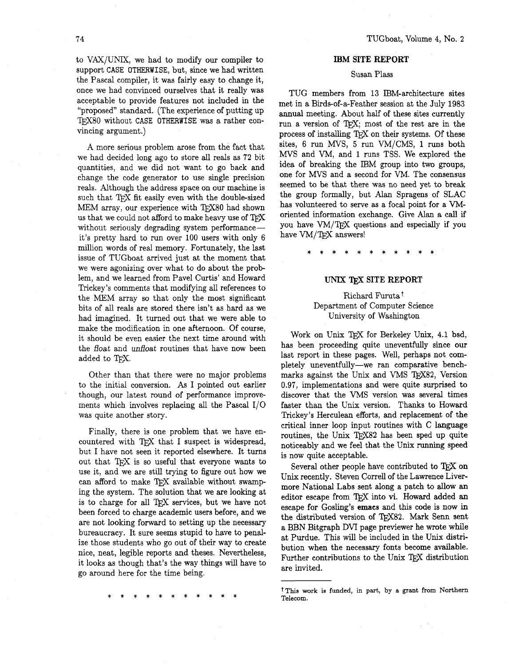to VAX/UNIX, we had to modify our compiler to support CASE OTHERWISE, but, since we had written the Pascal compiler, it was fairly easy to change it, once we had convinced ourselves that it really was acceptable to provide features not included in the "proposed" standard. (The experience of putting up TEX80 without CASE OTHERWISE was a rather convincing argument.)

A more serious problem arose from the fact that we had decided long ago to store all reals as **72** bit quantities, and we did not want to go back and change the code generator to use single precision reals. Although the address space on our machine is such that TFX fit easily even with the double-sized MEM array, our experience with TEX80 had shown us that we could not afford to make heavy use of  $T_fX$ without seriously degrading system performanceit's pretty hard to run over **100** users with only 6 million words of real memory. Fortunately, the last issue of TUGboat arrived just at the moment that we were agonizing over what to do about the problem, and we learned from Pave1 Curtis' and Howard Trickey's comments that modifying all references to the MEM array so that only the most significant bits of all reals are stored there isn't as hard as we had imagined. It turned out that we were able to make the modification in one afternoon. Of course, it should be even easier the next time around with the float and unfloat routines that have now been added to TEX.

Other than that there were no major problems to the initial conversion. **As** I pointed out earlier though, our latest round of performance improvements which involves replacing all the Pascal 1/0 was quite another story.

Finally, there is one problem that we have en-Finally, there is one problem that we have encountered with T<sub>E</sub>X that I suspect is widespread, that I have not case it repeated electrical  $\Gamma$  turns. but I have not seen it reported elsewhere. It turns out that TFX is so useful that everyone wants to use it, and we are still trying to figure out how we can afford to make TFX available without swamping the system. The solution that we are looking at is to charge for all T<sub>FX</sub> services, but we have not been forced to charge academic users before, and we are not looking forward to setting up the necessary bureaucracy. It sure seems stupid to have to penalize those students who go out of their way to create nice, neat, legible reports and theses. Nevertheless, it looks as though that's the way things will have to go around here for the time being.

## **IBM SITE REPORT**

# Susan Plass

TUG members from **13** IBM-architecture sites met in a Birds-of-a-Feather session at the July **1983**  annual meeting. About half of these sites currently run a version of TFX; most of the rest are in the process of installing TEX on their systems. Of these sites, 6 run MVS, 5 run VM/CMS, **1** runs both MVS and VM, and **1** runs TSS. We explored the idea of breaking the IBM group into two groups, one for MVS and a second for VM. The consensus seemed to be that there was no need yet to break the group formally, but Alan Spragens of SLAC has volunteered to serve as a focal point for a VMoriented information exchange. Give **Alan** a call if you have VM/TFX questions and especially if you have VM/TEX answers!

#### UNIX 'QjX **SITE REPORT**

Richard Furuta<sup>t</sup> Department of Computer Science University of Washington

Work on Unix TFX for Berkeley Unix, 4.1 bsd, has been proceeding quite uneventfully since our last report in these pages. Well, perhaps not completely uneventfully-we ran comparative benchmarks against the Unix and VMS TEX82, Version 0.97, implementations and were quite surprised to discover that the VMS version was several times faster than the Unix version. Thanks to Howard Trickey's Herculean efforts, and replacement of the critical inner loop input routines with C language routines, the Unix TFX82 has been sped up quite noticeably and we feel that the Unix running speed is now quite acceptable.

Several other people have contributed to TFX on Unix recently. Steven Correll of the Lawrence Livermore National Labs sent along a patch to allow an editor escape from TFX into vi. Howard added an escape for Gosling's **emacs** and this code is now in the distributed version of TEX82. Mark Senn sent a BBN Bitgraph DVI page previewer he wrote while at Purdue. This will be included in the Unix distribution when the necessary fonts become available. at Purque. This will be included in the Unix distri-<br>bution when the necessary fonts become available.<br>Further contributions to the Unix TEX distribution are invited.

t This **work is funded, in part, by a grant from Northern Telecom.**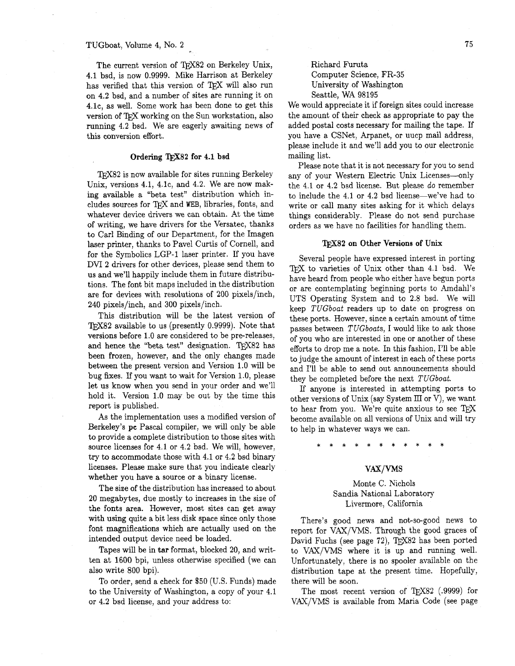#### TUGboat, Volume 4, No. 2

The current version of TEX82 on Berkeley Unix, 4.1 bsd, is now 0.9999. Mike Harrison at Berkeley has verified that this version of  $Tr[X]$  will also run on 4.2 bsd, and a number of sites are running it on 4.lc, as well. Some work has been done to get this version of TFX working on the Sun workstation, also running 4.2 bsd. We are eagerly awaiting news of this conversion effort.

#### Ordering TFX82 for 4.1 bsd

TFX82 is now available for sites running Berkeley Unix, versions  $4.1, 4.1c$ , and  $4.2$ . We are now making available a "beta test" distribution which includes sources for  $T$  $\overline{r}$ X and WEB, libraries, fonts, and whatever device drivers we can obtain. At the time of writing, we have drivers for the Versatec, thanks to Carl Binding of our Department, for the Imagen laser printer, thanks to Pavel Curtis of Cornell, and for the Syrnbolics LGP-1 laser printer. If you have DVI 2 drivers for other devices, please send them to us and we'll happily include them in future distributions. The font bit maps included in the distribution are for devices with resolutions of 200 pixels/inch, 240 pixels/inch, and 300 pixels/inch.

This distribution will be the latest version of TFX82 available to us (presently  $0.9999$ ). Note that versions before 1.0 are considered to be pre-releases, and hence the "beta test" designation. TFX82 has been frozen, however, and the only changes made between the present version and Version 1.0 will be bug fixes. If you want to wait for Version 1.0, please let us know when you send in your order and we'll hold it. Version 1.0 may be out by the time this report is published.

**As** the implementation uses a modified version of Berkeley's **pc** Pascal compiler, we will only be able to provide a complete distribution to those sites with source licenses for 4.1 or 4.2 bsd. We will, however, try to accommodate those with 4.1 or 4.2 bsd binary licenses. Please make sure that you indicate clearly whether you have a source or a binary license.

The size of the distribution has increased to about 20 megabytes, due mostly to increases in the size of the fonts area. However, most sites can get away with using quite a bit less disk space since only those font magnifications which are actually used on the intended output device need be loaded.

Tapes will be in **tar** format, blocked 20, and written at 1600 bpi, unless otherwise specified (we can also write 800 bpi).

To order, send a check for \$50 (U.S. Funds) made to the University of Washington, a copy of your 4.1 or 4.2 bsd license, and your address to:

Richard Furuta Computer Science, FR-35 University of Washington Seattle, WA 98195

We would appreciate it if foreign sites could increase the amount of their check as appropriate to pay the added postal costs necessary for mailing the tape. If you have a CSNet, Arpanet, or uucp mail address, please include it and we'll add you to our electronic mailing list.

Please note that it is not necessary for you to send any of your Western Electric Unix Licenses--only the 4.1 or 4.2 bsd license. But please do remember to include the  $4.1$  or  $4.2$  bsd license—we've had to write or call many sites asking for it which delays things considerably. Please do not send purchase orders as we have no facilities for handling them.

### **m82** on Other Versions of **Unix**

Several people have expressed interest in porting TFX to varieties of Unix other than 4.1 bsd. We have heard from people who either have begun ports or are contemplating beginning ports to Amdah17s UTS Operating System and to 2.8 bsd. We will keep TUGboat readers up to date on progress on these ports. However, since a certain amount of time passes between TUGboats, I would like to ask those of you who are interested in one or another of these efforts to drop me a note. In this fashion, I'll be able to judge the amount of interest in each of these ports and I'll be able to send out announcements should they be completed before the next TUGboat.

If anyone is interested in attempting ports to other versions of Unix (say System III or V), we want to hear from you. We're quite anxious to see  $T_F X$ become available on all versions of Unix and will try to help in whatever ways we can.

#### VAX/VMS

Monte C. Nichols Sandia National Laboratory Livermore, California

There's good news and not-so-good news to report for VAX/VMS. Through the good graces of David Fuchs (see page 72), TFX82 has been ported to VAX/VMS where it is up and running well. Unfortunately, there is no spooler available on the distribution tape at the present time. Hopefully, there will be soon.

The most recent version of T $EX82$  (.9999) for VAX/VMS is available from Maria Code (see page